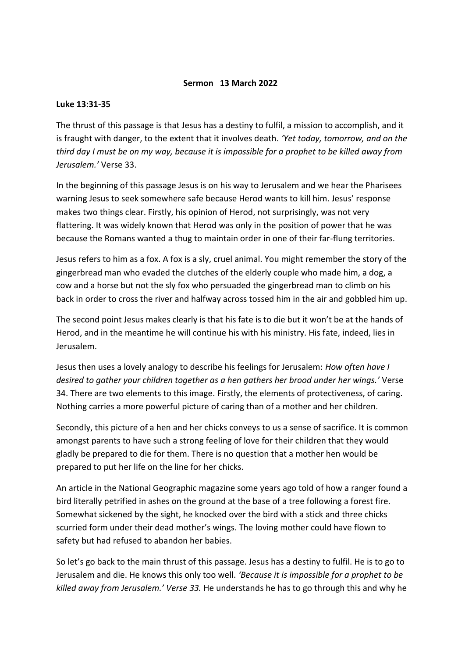## **Sermon 13 March 2022**

## **Luke 13:31-35**

The thrust of this passage is that Jesus has a destiny to fulfil, a mission to accomplish, and it is fraught with danger, to the extent that it involves death. *'Yet today, tomorrow, and on the third day I must be on my way, because it is impossible for a prophet to be killed away from Jerusalem.'* Verse 33.

In the beginning of this passage Jesus is on his way to Jerusalem and we hear the Pharisees warning Jesus to seek somewhere safe because Herod wants to kill him. Jesus' response makes two things clear. Firstly, his opinion of Herod, not surprisingly, was not very flattering. It was widely known that Herod was only in the position of power that he was because the Romans wanted a thug to maintain order in one of their far-flung territories.

Jesus refers to him as a fox. A fox is a sly, cruel animal. You might remember the story of the gingerbread man who evaded the clutches of the elderly couple who made him, a dog, a cow and a horse but not the sly fox who persuaded the gingerbread man to climb on his back in order to cross the river and halfway across tossed him in the air and gobbled him up.

The second point Jesus makes clearly is that his fate is to die but it won't be at the hands of Herod, and in the meantime he will continue his with his ministry. His fate, indeed, lies in Jerusalem.

Jesus then uses a lovely analogy to describe his feelings for Jerusalem: *How often have I desired to gather your children together as a hen gathers her brood under her wings.'* Verse 34. There are two elements to this image. Firstly, the elements of protectiveness, of caring. Nothing carries a more powerful picture of caring than of a mother and her children.

Secondly, this picture of a hen and her chicks conveys to us a sense of sacrifice. It is common amongst parents to have such a strong feeling of love for their children that they would gladly be prepared to die for them. There is no question that a mother hen would be prepared to put her life on the line for her chicks.

An article in the National Geographic magazine some years ago told of how a ranger found a bird literally petrified in ashes on the ground at the base of a tree following a forest fire. Somewhat sickened by the sight, he knocked over the bird with a stick and three chicks scurried form under their dead mother's wings. The loving mother could have flown to safety but had refused to abandon her babies.

So let's go back to the main thrust of this passage. Jesus has a destiny to fulfil. He is to go to Jerusalem and die. He knows this only too well. *'Because it is impossible for a prophet to be killed away from Jerusalem.' Verse 33.* He understands he has to go through this and why he